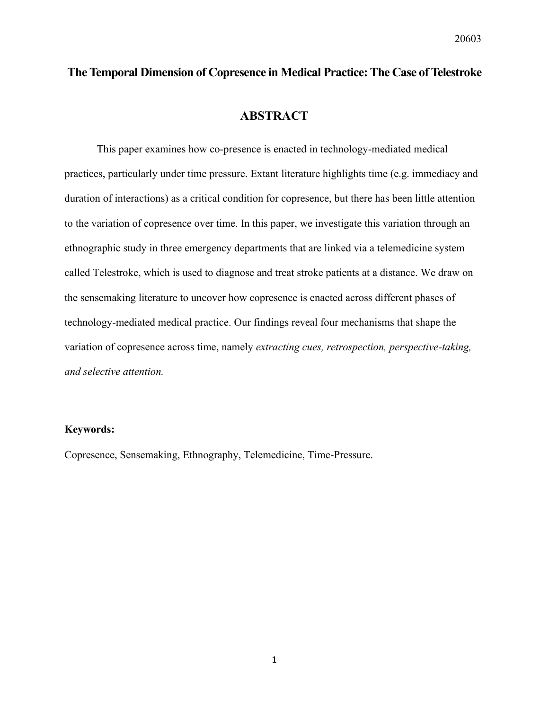# **The Temporal Dimension of Copresence in Medical Practice: The Case of Telestroke**

## **ABSTRACT**

This paper examines how co-presence is enacted in technology-mediated medical practices, particularly under time pressure. Extant literature highlights time (e.g. immediacy and duration of interactions) as a critical condition for copresence, but there has been little attention to the variation of copresence over time. In this paper, we investigate this variation through an ethnographic study in three emergency departments that are linked via a telemedicine system called Telestroke, which is used to diagnose and treat stroke patients at a distance. We draw on the sensemaking literature to uncover how copresence is enacted across different phases of technology-mediated medical practice. Our findings reveal four mechanisms that shape the variation of copresence across time, namely *extracting cues, retrospection, perspective-taking, and selective attention.* 

#### **Keywords:**

Copresence, Sensemaking, Ethnography, Telemedicine, Time-Pressure.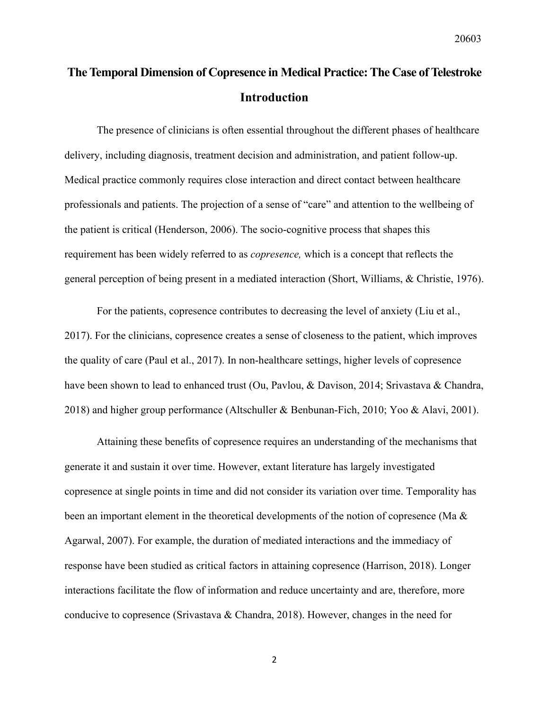# **The Temporal Dimension of Copresence in Medical Practice: The Case of Telestroke Introduction**

The presence of clinicians is often essential throughout the different phases of healthcare delivery, including diagnosis, treatment decision and administration, and patient follow-up. Medical practice commonly requires close interaction and direct contact between healthcare professionals and patients. The projection of a sense of "care" and attention to the wellbeing of the patient is critical (Henderson, 2006). The socio-cognitive process that shapes this requirement has been widely referred to as *copresence,* which is a concept that reflects the general perception of being present in a mediated interaction (Short, Williams, & Christie, 1976).

For the patients, copresence contributes to decreasing the level of anxiety (Liu et al., 2017). For the clinicians, copresence creates a sense of closeness to the patient, which improves the quality of care (Paul et al., 2017). In non-healthcare settings, higher levels of copresence have been shown to lead to enhanced trust (Ou, Pavlou, & Davison, 2014; Srivastava & Chandra, 2018) and higher group performance (Altschuller & Benbunan-Fich, 2010; Yoo & Alavi, 2001).

Attaining these benefits of copresence requires an understanding of the mechanisms that generate it and sustain it over time. However, extant literature has largely investigated copresence at single points in time and did not consider its variation over time. Temporality has been an important element in the theoretical developments of the notion of copresence (Ma & Agarwal, 2007). For example, the duration of mediated interactions and the immediacy of response have been studied as critical factors in attaining copresence (Harrison, 2018). Longer interactions facilitate the flow of information and reduce uncertainty and are, therefore, more conducive to copresence (Srivastava & Chandra, 2018). However, changes in the need for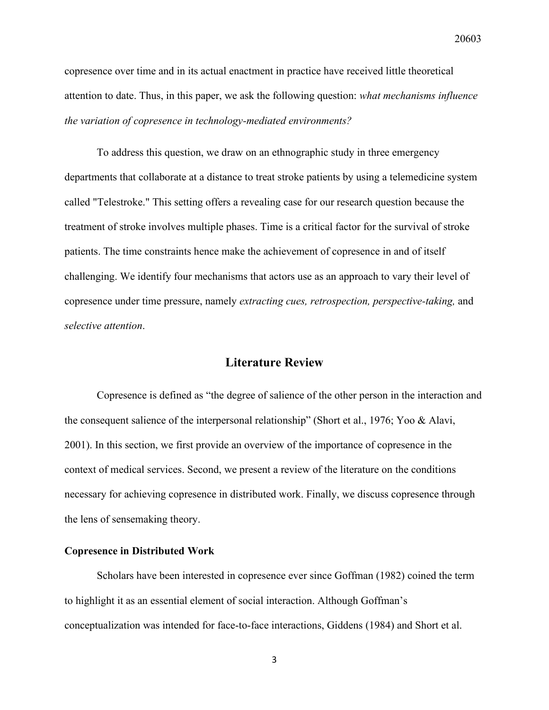copresence over time and in its actual enactment in practice have received little theoretical attention to date. Thus, in this paper, we ask the following question: *what mechanisms influence the variation of copresence in technology-mediated environments?*

To address this question, we draw on an ethnographic study in three emergency departments that collaborate at a distance to treat stroke patients by using a telemedicine system called "Telestroke." This setting offers a revealing case for our research question because the treatment of stroke involves multiple phases. Time is a critical factor for the survival of stroke patients. The time constraints hence make the achievement of copresence in and of itself challenging. We identify four mechanisms that actors use as an approach to vary their level of copresence under time pressure, namely *extracting cues, retrospection, perspective-taking,* and *selective attention*.

### **Literature Review**

Copresence is defined as "the degree of salience of the other person in the interaction and the consequent salience of the interpersonal relationship" (Short et al., 1976; Yoo & Alavi, 2001). In this section, we first provide an overview of the importance of copresence in the context of medical services. Second, we present a review of the literature on the conditions necessary for achieving copresence in distributed work. Finally, we discuss copresence through the lens of sensemaking theory.

#### **Copresence in Distributed Work**

Scholars have been interested in copresence ever since Goffman (1982) coined the term to highlight it as an essential element of social interaction. Although Goffman's conceptualization was intended for face-to-face interactions, Giddens (1984) and Short et al.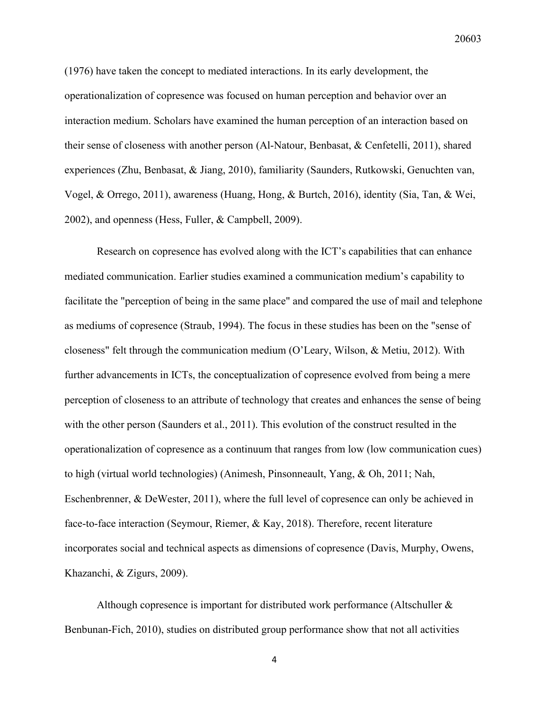(1976) have taken the concept to mediated interactions. In its early development, the operationalization of copresence was focused on human perception and behavior over an interaction medium. Scholars have examined the human perception of an interaction based on their sense of closeness with another person (Al-Natour, Benbasat, & Cenfetelli, 2011), shared experiences (Zhu, Benbasat, & Jiang, 2010), familiarity (Saunders, Rutkowski, Genuchten van, Vogel, & Orrego, 2011), awareness (Huang, Hong, & Burtch, 2016), identity (Sia, Tan, & Wei, 2002), and openness (Hess, Fuller, & Campbell, 2009).

Research on copresence has evolved along with the ICT's capabilities that can enhance mediated communication. Earlier studies examined a communication medium's capability to facilitate the "perception of being in the same place" and compared the use of mail and telephone as mediums of copresence (Straub, 1994). The focus in these studies has been on the "sense of closeness" felt through the communication medium (O'Leary, Wilson, & Metiu, 2012). With further advancements in ICTs, the conceptualization of copresence evolved from being a mere perception of closeness to an attribute of technology that creates and enhances the sense of being with the other person (Saunders et al., 2011). This evolution of the construct resulted in the operationalization of copresence as a continuum that ranges from low (low communication cues) to high (virtual world technologies) (Animesh, Pinsonneault, Yang, & Oh, 2011; Nah, Eschenbrenner, & DeWester, 2011), where the full level of copresence can only be achieved in face-to-face interaction (Seymour, Riemer, & Kay, 2018). Therefore, recent literature incorporates social and technical aspects as dimensions of copresence (Davis, Murphy, Owens, Khazanchi, & Zigurs, 2009).

Although copresence is important for distributed work performance (Altschuller & Benbunan-Fich, 2010), studies on distributed group performance show that not all activities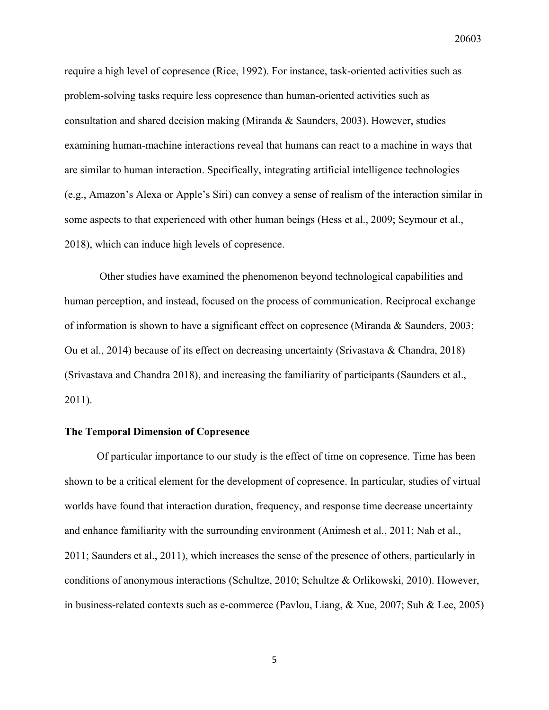require a high level of copresence (Rice, 1992). For instance, task-oriented activities such as problem-solving tasks require less copresence than human-oriented activities such as consultation and shared decision making (Miranda & Saunders, 2003). However, studies examining human-machine interactions reveal that humans can react to a machine in ways that are similar to human interaction. Specifically, integrating artificial intelligence technologies (e.g., Amazon's Alexa or Apple's Siri) can convey a sense of realism of the interaction similar in some aspects to that experienced with other human beings (Hess et al., 2009; Seymour et al., 2018), which can induce high levels of copresence.

Other studies have examined the phenomenon beyond technological capabilities and human perception, and instead, focused on the process of communication. Reciprocal exchange of information is shown to have a significant effect on copresence (Miranda & Saunders, 2003; Ou et al., 2014) because of its effect on decreasing uncertainty (Srivastava & Chandra, 2018) (Srivastava and Chandra 2018), and increasing the familiarity of participants (Saunders et al., 2011).

#### **The Temporal Dimension of Copresence**

Of particular importance to our study is the effect of time on copresence. Time has been shown to be a critical element for the development of copresence. In particular, studies of virtual worlds have found that interaction duration, frequency, and response time decrease uncertainty and enhance familiarity with the surrounding environment (Animesh et al., 2011; Nah et al., 2011; Saunders et al., 2011), which increases the sense of the presence of others, particularly in conditions of anonymous interactions (Schultze, 2010; Schultze & Orlikowski, 2010). However, in business-related contexts such as e-commerce (Pavlou, Liang, & Xue, 2007; Suh & Lee, 2005)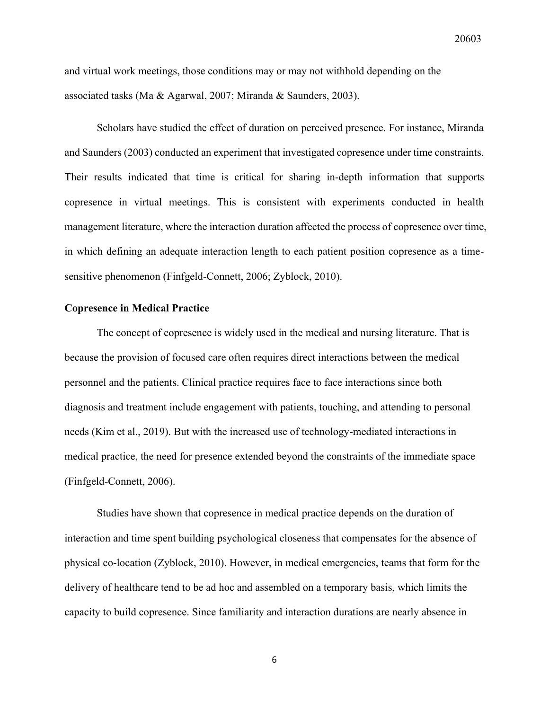and virtual work meetings, those conditions may or may not withhold depending on the associated tasks (Ma & Agarwal, 2007; Miranda & Saunders, 2003).

Scholars have studied the effect of duration on perceived presence. For instance, Miranda and Saunders (2003) conducted an experiment that investigated copresence under time constraints. Their results indicated that time is critical for sharing in-depth information that supports copresence in virtual meetings. This is consistent with experiments conducted in health management literature, where the interaction duration affected the process of copresence over time, in which defining an adequate interaction length to each patient position copresence as a timesensitive phenomenon (Finfgeld-Connett, 2006; Zyblock, 2010).

#### **Copresence in Medical Practice**

The concept of copresence is widely used in the medical and nursing literature. That is because the provision of focused care often requires direct interactions between the medical personnel and the patients. Clinical practice requires face to face interactions since both diagnosis and treatment include engagement with patients, touching, and attending to personal needs (Kim et al., 2019). But with the increased use of technology-mediated interactions in medical practice, the need for presence extended beyond the constraints of the immediate space (Finfgeld-Connett, 2006).

Studies have shown that copresence in medical practice depends on the duration of interaction and time spent building psychological closeness that compensates for the absence of physical co-location (Zyblock, 2010). However, in medical emergencies, teams that form for the delivery of healthcare tend to be ad hoc and assembled on a temporary basis, which limits the capacity to build copresence. Since familiarity and interaction durations are nearly absence in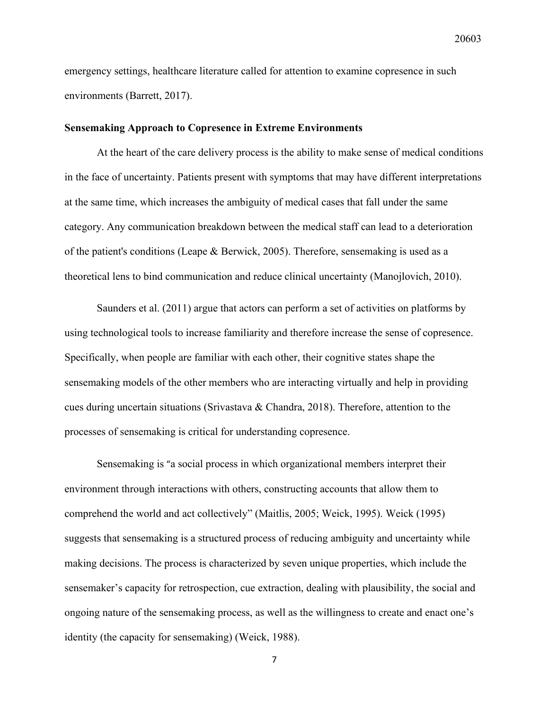emergency settings, healthcare literature called for attention to examine copresence in such environments (Barrett, 2017).

#### **Sensemaking Approach to Copresence in Extreme Environments**

At the heart of the care delivery process is the ability to make sense of medical conditions in the face of uncertainty. Patients present with symptoms that may have different interpretations at the same time, which increases the ambiguity of medical cases that fall under the same category. Any communication breakdown between the medical staff can lead to a deterioration of the patient's conditions (Leape & Berwick, 2005). Therefore, sensemaking is used as a theoretical lens to bind communication and reduce clinical uncertainty (Manojlovich, 2010).

Saunders et al. (2011) argue that actors can perform a set of activities on platforms by using technological tools to increase familiarity and therefore increase the sense of copresence. Specifically, when people are familiar with each other, their cognitive states shape the sensemaking models of the other members who are interacting virtually and help in providing cues during uncertain situations (Srivastava & Chandra, 2018). Therefore, attention to the processes of sensemaking is critical for understanding copresence.

Sensemaking is "a social process in which organizational members interpret their environment through interactions with others, constructing accounts that allow them to comprehend the world and act collectively" (Maitlis, 2005; Weick, 1995). Weick (1995) suggests that sensemaking is a structured process of reducing ambiguity and uncertainty while making decisions. The process is characterized by seven unique properties, which include the sensemaker's capacity for retrospection, cue extraction, dealing with plausibility, the social and ongoing nature of the sensemaking process, as well as the willingness to create and enact one's identity (the capacity for sensemaking) (Weick, 1988).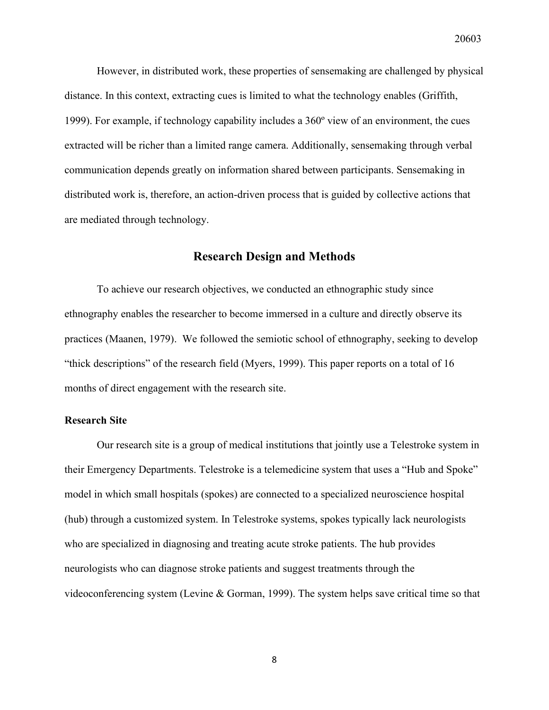However, in distributed work, these properties of sensemaking are challenged by physical distance. In this context, extracting cues is limited to what the technology enables (Griffith, 1999). For example, if technology capability includes a 360º view of an environment, the cues extracted will be richer than a limited range camera. Additionally, sensemaking through verbal communication depends greatly on information shared between participants. Sensemaking in distributed work is, therefore, an action-driven process that is guided by collective actions that are mediated through technology.

#### **Research Design and Methods**

To achieve our research objectives, we conducted an ethnographic study since ethnography enables the researcher to become immersed in a culture and directly observe its practices (Maanen, 1979). We followed the semiotic school of ethnography, seeking to develop "thick descriptions" of the research field (Myers, 1999). This paper reports on a total of 16 months of direct engagement with the research site.

#### **Research Site**

Our research site is a group of medical institutions that jointly use a Telestroke system in their Emergency Departments. Telestroke is a telemedicine system that uses a "Hub and Spoke" model in which small hospitals (spokes) are connected to a specialized neuroscience hospital (hub) through a customized system. In Telestroke systems, spokes typically lack neurologists who are specialized in diagnosing and treating acute stroke patients. The hub provides neurologists who can diagnose stroke patients and suggest treatments through the videoconferencing system (Levine & Gorman, 1999). The system helps save critical time so that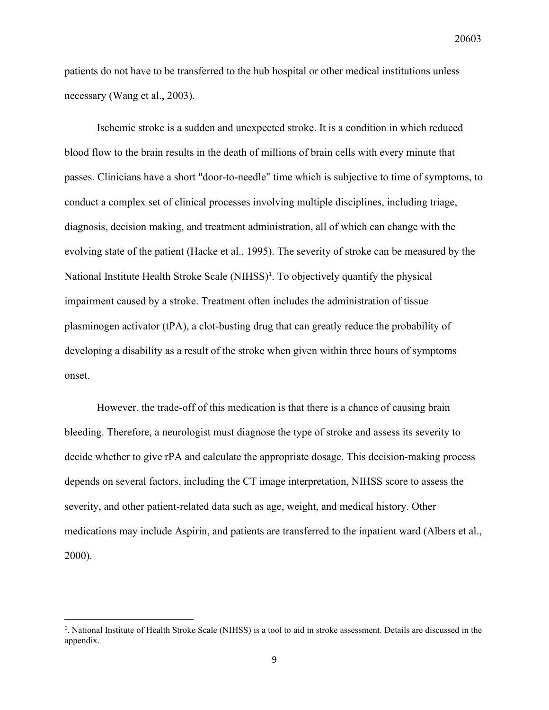patients do not have to be transferred to the hub hospital or other medical institutions unless necessary (Wang et al., 2003).

Ischemic stroke is a sudden and unexpected stroke. It is a condition in which reduced blood flow to the brain results in the death of millions of brain cells with every minute that passes. Clinicians have a short "door-to-needle" time which is subjective to time of symptoms, to conduct a complex set of clinical processes involving multiple disciplines, including triage, diagnosis, decision making, and treatment administration, all of which can change with the evolving state of the patient (Hacke et al., 1995). The severity of stroke can be measured by the National Institute Health Stroke Scale (NIHSS)<sup>1</sup>. To objectively quantify the physical impairment caused by a stroke. Treatment often includes the administration of tissue plasminogen activator (tPA), a clot-busting drug that can greatly reduce the probability of developing a disability as a result of the stroke when given within three hours of symptoms onset.

However, the trade-off of this medication is that there is a chance of causing brain bleeding. Therefore, a neurologist must diagnose the type of stroke and assess its severity to decide whether to give rPA and calculate the appropriate dosage. This decision-making process depends on several factors, including the CT image interpretation, NIHSS score to assess the severity, and other patient-related data such as age, weight, and medical history. Other medications may include Aspirin, and patients are transferred to the inpatient ward (Albers et al., 2000).

<sup>1</sup> . National Institute of Health Stroke Scale (NIHSS) is a tool to aid in stroke assessment. Details are discussed in the appendix.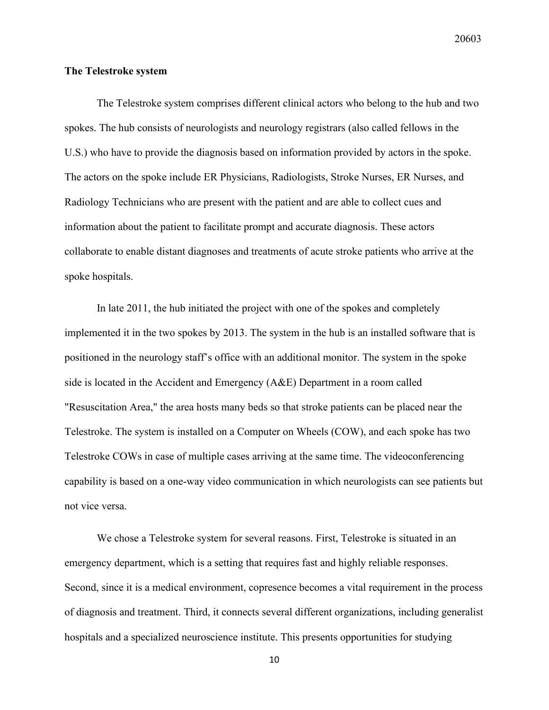#### **The Telestroke system**

The Telestroke system comprises different clinical actors who belong to the hub and two spokes. The hub consists of neurologists and neurology registrars (also called fellows in the U.S.) who have to provide the diagnosis based on information provided by actors in the spoke. The actors on the spoke include ER Physicians, Radiologists, Stroke Nurses, ER Nurses, and Radiology Technicians who are present with the patient and are able to collect cues and information about the patient to facilitate prompt and accurate diagnosis. These actors collaborate to enable distant diagnoses and treatments of acute stroke patients who arrive at the spoke hospitals.

In late 2011, the hub initiated the project with one of the spokes and completely implemented it in the two spokes by 2013. The system in the hub is an installed software that is positioned in the neurology staff's office with an additional monitor. The system in the spoke side is located in the Accident and Emergency (A&E) Department in a room called "Resuscitation Area," the area hosts many beds so that stroke patients can be placed near the Telestroke. The system is installed on a Computer on Wheels (COW), and each spoke has two Telestroke COWs in case of multiple cases arriving at the same time. The videoconferencing capability is based on a one-way video communication in which neurologists can see patients but not vice versa.

We chose a Telestroke system for several reasons. First, Telestroke is situated in an emergency department, which is a setting that requires fast and highly reliable responses. Second, since it is a medical environment, copresence becomes a vital requirement in the process of diagnosis and treatment. Third, it connects several different organizations, including generalist hospitals and a specialized neuroscience institute. This presents opportunities for studying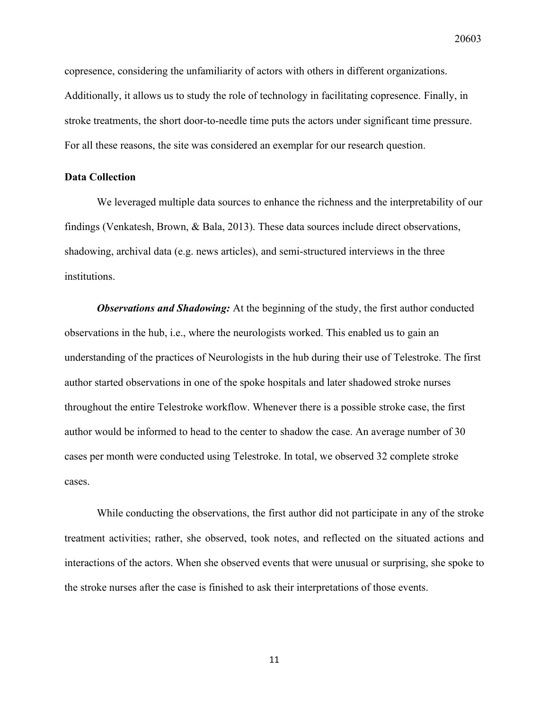copresence, considering the unfamiliarity of actors with others in different organizations. Additionally, it allows us to study the role of technology in facilitating copresence. Finally, in stroke treatments, the short door-to-needle time puts the actors under significant time pressure. For all these reasons, the site was considered an exemplar for our research question.

#### **Data Collection**

We leveraged multiple data sources to enhance the richness and the interpretability of our findings (Venkatesh, Brown, & Bala, 2013). These data sources include direct observations, shadowing, archival data (e.g. news articles), and semi-structured interviews in the three institutions.

**Observations and Shadowing:** At the beginning of the study, the first author conducted observations in the hub, i.e., where the neurologists worked. This enabled us to gain an understanding of the practices of Neurologists in the hub during their use of Telestroke. The first author started observations in one of the spoke hospitals and later shadowed stroke nurses throughout the entire Telestroke workflow. Whenever there is a possible stroke case, the first author would be informed to head to the center to shadow the case. An average number of 30 cases per month were conducted using Telestroke. In total, we observed 32 complete stroke cases.

While conducting the observations, the first author did not participate in any of the stroke treatment activities; rather, she observed, took notes, and reflected on the situated actions and interactions of the actors. When she observed events that were unusual or surprising, she spoke to the stroke nurses after the case is finished to ask their interpretations of those events.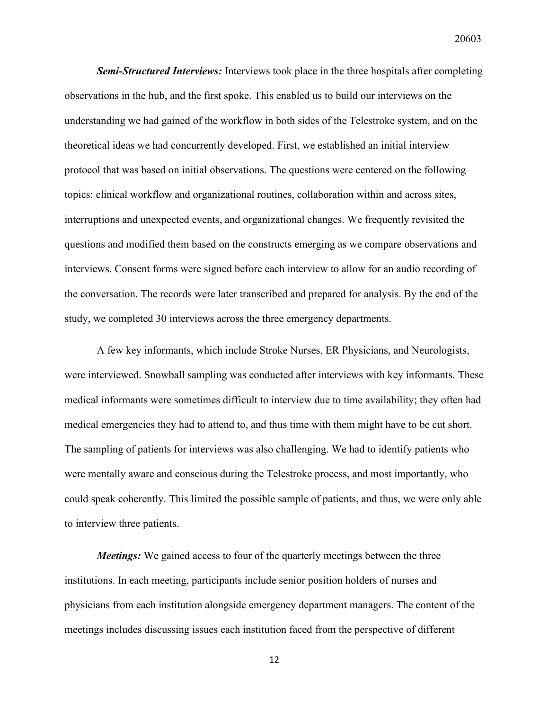*Semi-Structured Interviews:* Interviews took place in the three hospitals after completing observations in the hub, and the first spoke. This enabled us to build our interviews on the understanding we had gained of the workflow in both sides of the Telestroke system, and on the theoretical ideas we had concurrently developed. First, we established an initial interview protocol that was based on initial observations. The questions were centered on the following topics: clinical workflow and organizational routines, collaboration within and across sites, interruptions and unexpected events, and organizational changes. We frequently revisited the questions and modified them based on the constructs emerging as we compare observations and interviews. Consent forms were signed before each interview to allow for an audio recording of the conversation. The records were later transcribed and prepared for analysis. By the end of the study, we completed 30 interviews across the three emergency departments.

A few key informants, which include Stroke Nurses, ER Physicians, and Neurologists, were interviewed. Snowball sampling was conducted after interviews with key informants. These medical informants were sometimes difficult to interview due to time availability; they often had medical emergencies they had to attend to, and thus time with them might have to be cut short. The sampling of patients for interviews was also challenging. We had to identify patients who were mentally aware and conscious during the Telestroke process, and most importantly, who could speak coherently. This limited the possible sample of patients, and thus, we were only able to interview three patients.

*Meetings:* We gained access to four of the quarterly meetings between the three institutions. In each meeting, participants include senior position holders of nurses and physicians from each institution alongside emergency department managers. The content of the meetings includes discussing issues each institution faced from the perspective of different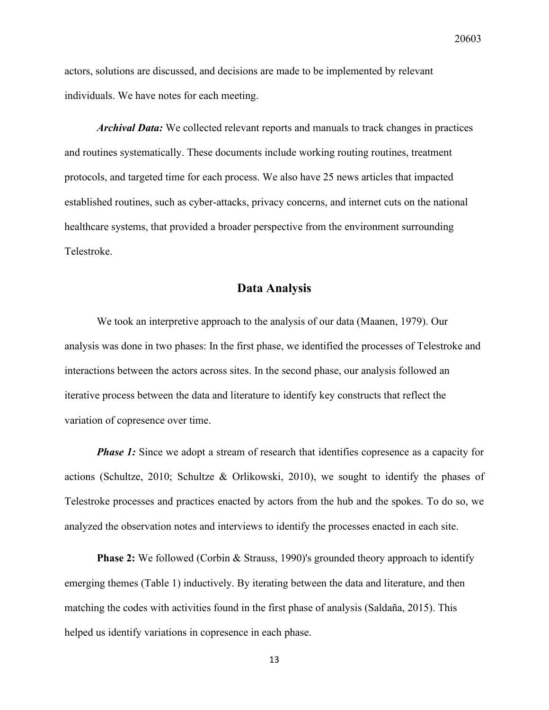actors, solutions are discussed, and decisions are made to be implemented by relevant individuals. We have notes for each meeting.

*Archival Data:* We collected relevant reports and manuals to track changes in practices and routines systematically. These documents include working routing routines, treatment protocols, and targeted time for each process. We also have 25 news articles that impacted established routines, such as cyber-attacks, privacy concerns, and internet cuts on the national healthcare systems, that provided a broader perspective from the environment surrounding Telestroke.

#### **Data Analysis**

We took an interpretive approach to the analysis of our data (Maanen, 1979). Our analysis was done in two phases: In the first phase, we identified the processes of Telestroke and interactions between the actors across sites. In the second phase, our analysis followed an iterative process between the data and literature to identify key constructs that reflect the variation of copresence over time.

*Phase 1:* Since we adopt a stream of research that identifies copresence as a capacity for actions (Schultze, 2010; Schultze & Orlikowski, 2010), we sought to identify the phases of Telestroke processes and practices enacted by actors from the hub and the spokes. To do so, we analyzed the observation notes and interviews to identify the processes enacted in each site.

**Phase 2:** We followed (Corbin & Strauss, 1990)'s grounded theory approach to identify emerging themes (Table 1) inductively. By iterating between the data and literature, and then matching the codes with activities found in the first phase of analysis (Saldaña, 2015). This helped us identify variations in copresence in each phase.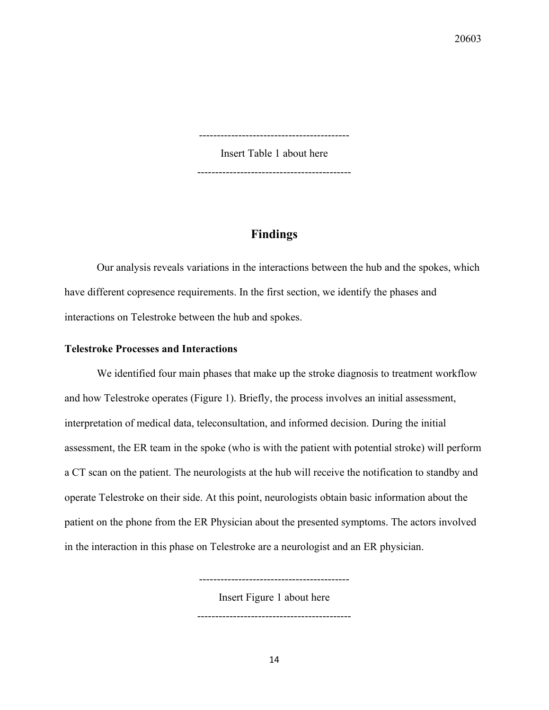------------------------------------------

Insert Table 1 about here

-------------------------------------------

## **Findings**

Our analysis reveals variations in the interactions between the hub and the spokes, which have different copresence requirements. In the first section, we identify the phases and interactions on Telestroke between the hub and spokes.

#### **Telestroke Processes and Interactions**

We identified four main phases that make up the stroke diagnosis to treatment workflow and how Telestroke operates (Figure 1). Briefly, the process involves an initial assessment, interpretation of medical data, teleconsultation, and informed decision. During the initial assessment, the ER team in the spoke (who is with the patient with potential stroke) will perform a CT scan on the patient. The neurologists at the hub will receive the notification to standby and operate Telestroke on their side. At this point, neurologists obtain basic information about the patient on the phone from the ER Physician about the presented symptoms. The actors involved in the interaction in this phase on Telestroke are a neurologist and an ER physician.

> ------------------------------------------ Insert Figure 1 about here

-------------------------------------------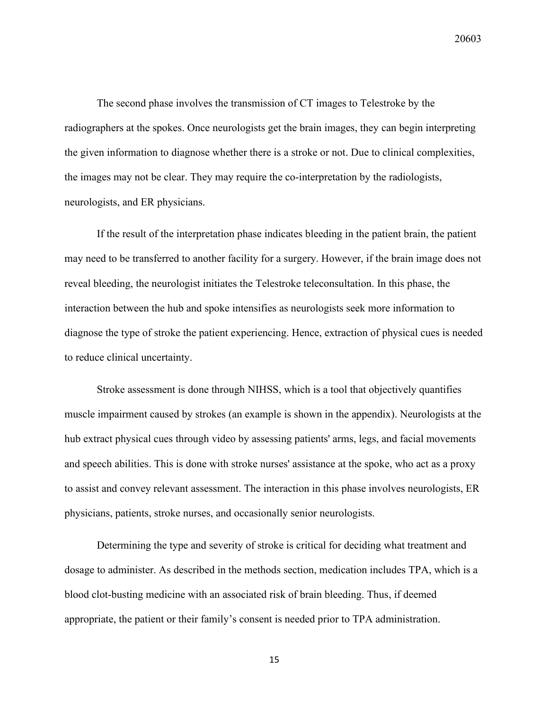The second phase involves the transmission of CT images to Telestroke by the radiographers at the spokes. Once neurologists get the brain images, they can begin interpreting the given information to diagnose whether there is a stroke or not. Due to clinical complexities, the images may not be clear. They may require the co-interpretation by the radiologists, neurologists, and ER physicians.

If the result of the interpretation phase indicates bleeding in the patient brain, the patient may need to be transferred to another facility for a surgery. However, if the brain image does not reveal bleeding, the neurologist initiates the Telestroke teleconsultation. In this phase, the interaction between the hub and spoke intensifies as neurologists seek more information to diagnose the type of stroke the patient experiencing. Hence, extraction of physical cues is needed to reduce clinical uncertainty.

Stroke assessment is done through NIHSS, which is a tool that objectively quantifies muscle impairment caused by strokes (an example is shown in the appendix). Neurologists at the hub extract physical cues through video by assessing patients' arms, legs, and facial movements and speech abilities. This is done with stroke nurses' assistance at the spoke, who act as a proxy to assist and convey relevant assessment. The interaction in this phase involves neurologists, ER physicians, patients, stroke nurses, and occasionally senior neurologists.

Determining the type and severity of stroke is critical for deciding what treatment and dosage to administer. As described in the methods section, medication includes TPA, which is a blood clot-busting medicine with an associated risk of brain bleeding. Thus, if deemed appropriate, the patient or their family's consent is needed prior to TPA administration.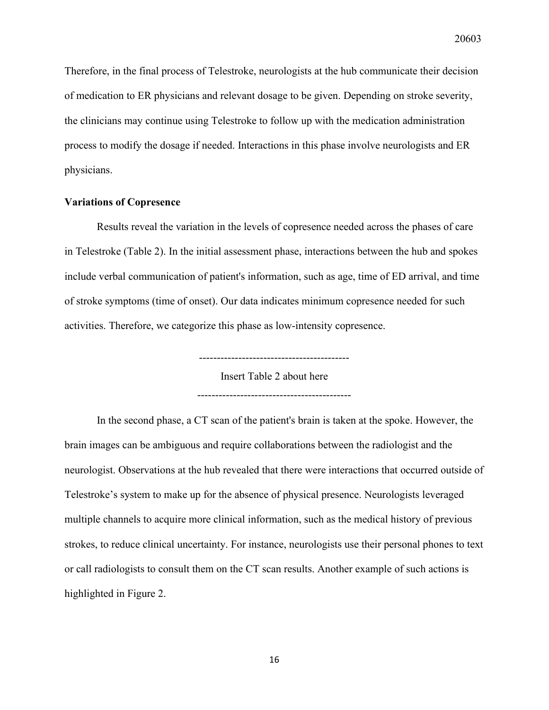Therefore, in the final process of Telestroke, neurologists at the hub communicate their decision of medication to ER physicians and relevant dosage to be given. Depending on stroke severity, the clinicians may continue using Telestroke to follow up with the medication administration process to modify the dosage if needed. Interactions in this phase involve neurologists and ER physicians.

#### **Variations of Copresence**

Results reveal the variation in the levels of copresence needed across the phases of care in Telestroke (Table 2). In the initial assessment phase, interactions between the hub and spokes include verbal communication of patient's information, such as age, time of ED arrival, and time of stroke symptoms (time of onset). Our data indicates minimum copresence needed for such activities. Therefore, we categorize this phase as low-intensity copresence.

> ------------------------------------------ Insert Table 2 about here -------------------------------------------

In the second phase, a CT scan of the patient's brain is taken at the spoke. However, the brain images can be ambiguous and require collaborations between the radiologist and the neurologist. Observations at the hub revealed that there were interactions that occurred outside of Telestroke's system to make up for the absence of physical presence. Neurologists leveraged multiple channels to acquire more clinical information, such as the medical history of previous strokes, to reduce clinical uncertainty. For instance, neurologists use their personal phones to text or call radiologists to consult them on the CT scan results. Another example of such actions is highlighted in Figure 2.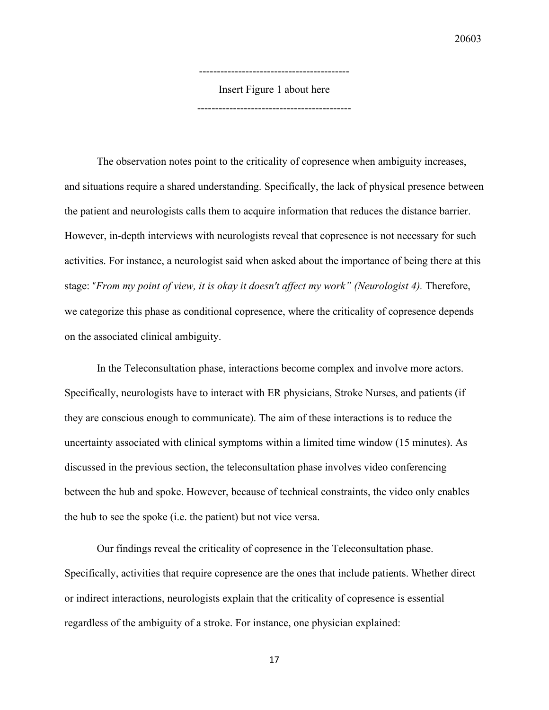------------------------------------------ Insert Figure 1 about here -------------------------------------------

The observation notes point to the criticality of copresence when ambiguity increases, and situations require a shared understanding. Specifically, the lack of physical presence between the patient and neurologists calls them to acquire information that reduces the distance barrier. However, in-depth interviews with neurologists reveal that copresence is not necessary for such activities. For instance, a neurologist said when asked about the importance of being there at this stage: "*From my point of view, it is okay it doesn't affect my work" (Neurologist 4).* Therefore, we categorize this phase as conditional copresence, where the criticality of copresence depends on the associated clinical ambiguity.

In the Teleconsultation phase, interactions become complex and involve more actors. Specifically, neurologists have to interact with ER physicians, Stroke Nurses, and patients (if they are conscious enough to communicate). The aim of these interactions is to reduce the uncertainty associated with clinical symptoms within a limited time window (15 minutes). As discussed in the previous section, the teleconsultation phase involves video conferencing between the hub and spoke. However, because of technical constraints, the video only enables the hub to see the spoke (i.e. the patient) but not vice versa.

Our findings reveal the criticality of copresence in the Teleconsultation phase. Specifically, activities that require copresence are the ones that include patients. Whether direct or indirect interactions, neurologists explain that the criticality of copresence is essential regardless of the ambiguity of a stroke. For instance, one physician explained: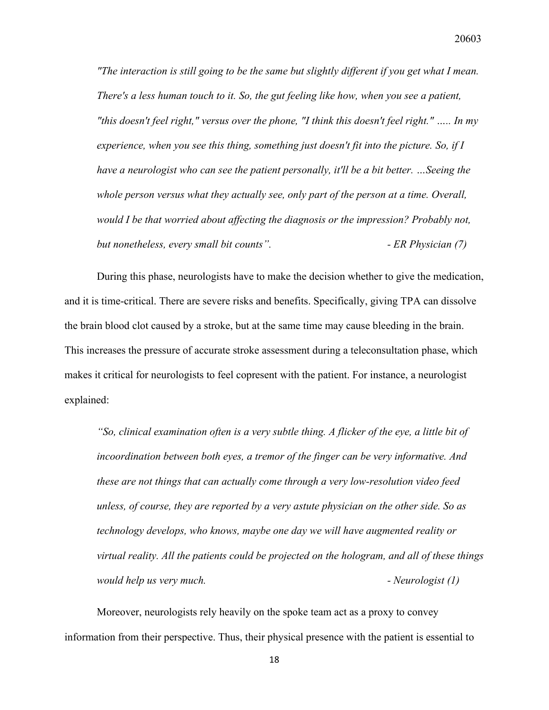*"The interaction is still going to be the same but slightly different if you get what I mean. There's a less human touch to it. So, the gut feeling like how, when you see a patient, "this doesn't feel right," versus over the phone, "I think this doesn't feel right." ….. In my experience, when you see this thing, something just doesn't fit into the picture. So, if I have a neurologist who can see the patient personally, it'll be a bit better. …Seeing the whole person versus what they actually see, only part of the person at a time. Overall, would I be that worried about affecting the diagnosis or the impression? Probably not, but nonetheless, every small bit counts". - ER Physician (7)*

During this phase, neurologists have to make the decision whether to give the medication, and it is time-critical. There are severe risks and benefits. Specifically, giving TPA can dissolve the brain blood clot caused by a stroke, but at the same time may cause bleeding in the brain. This increases the pressure of accurate stroke assessment during a teleconsultation phase, which makes it critical for neurologists to feel copresent with the patient. For instance, a neurologist explained:

*"So, clinical examination often is a very subtle thing. A flicker of the eye, a little bit of incoordination between both eyes, a tremor of the finger can be very informative. And these are not things that can actually come through a very low-resolution video feed unless, of course, they are reported by a very astute physician on the other side. So as technology develops, who knows, maybe one day we will have augmented reality or virtual reality. All the patients could be projected on the hologram, and all of these things would help us very much. - Neurologist (1)*

Moreover, neurologists rely heavily on the spoke team act as a proxy to convey information from their perspective. Thus, their physical presence with the patient is essential to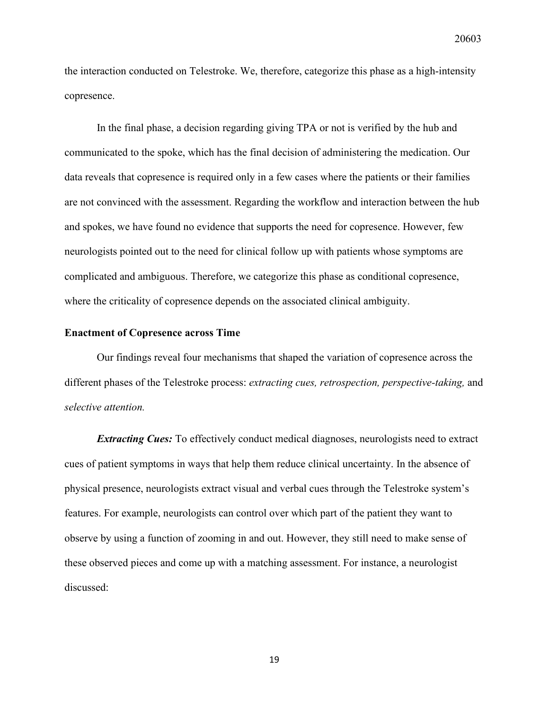the interaction conducted on Telestroke. We, therefore, categorize this phase as a high-intensity copresence.

In the final phase, a decision regarding giving TPA or not is verified by the hub and communicated to the spoke, which has the final decision of administering the medication. Our data reveals that copresence is required only in a few cases where the patients or their families are not convinced with the assessment. Regarding the workflow and interaction between the hub and spokes, we have found no evidence that supports the need for copresence. However, few neurologists pointed out to the need for clinical follow up with patients whose symptoms are complicated and ambiguous. Therefore, we categorize this phase as conditional copresence, where the criticality of copresence depends on the associated clinical ambiguity.

#### **Enactment of Copresence across Time**

Our findings reveal four mechanisms that shaped the variation of copresence across the different phases of the Telestroke process: *extracting cues, retrospection, perspective-taking,* and *selective attention.*

*Extracting Cues:* To effectively conduct medical diagnoses, neurologists need to extract cues of patient symptoms in ways that help them reduce clinical uncertainty. In the absence of physical presence, neurologists extract visual and verbal cues through the Telestroke system's features. For example, neurologists can control over which part of the patient they want to observe by using a function of zooming in and out. However, they still need to make sense of these observed pieces and come up with a matching assessment. For instance, a neurologist discussed: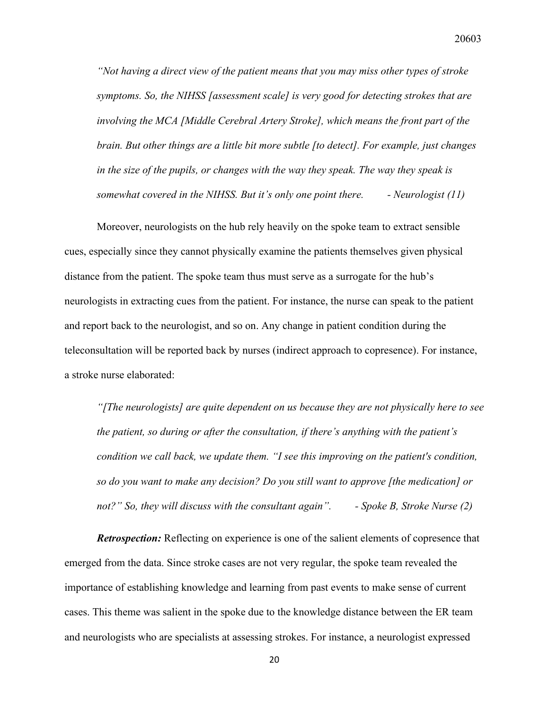*"Not having a direct view of the patient means that you may miss other types of stroke symptoms. So, the NIHSS [assessment scale] is very good for detecting strokes that are involving the MCA [Middle Cerebral Artery Stroke], which means the front part of the brain. But other things are a little bit more subtle [to detect]. For example, just changes in the size of the pupils, or changes with the way they speak. The way they speak is somewhat covered in the NIHSS. But it's only one point there. - Neurologist (11)*

Moreover, neurologists on the hub rely heavily on the spoke team to extract sensible cues, especially since they cannot physically examine the patients themselves given physical distance from the patient. The spoke team thus must serve as a surrogate for the hub's neurologists in extracting cues from the patient. For instance, the nurse can speak to the patient and report back to the neurologist, and so on. Any change in patient condition during the teleconsultation will be reported back by nurses (indirect approach to copresence). For instance, a stroke nurse elaborated:

*"[The neurologists] are quite dependent on us because they are not physically here to see the patient, so during or after the consultation, if there's anything with the patient's condition we call back, we update them. "I see this improving on the patient's condition, so do you want to make any decision? Do you still want to approve [the medication] or not?" So, they will discuss with the consultant again". - Spoke B, Stroke Nurse (2)*

*Retrospection:* Reflecting on experience is one of the salient elements of copresence that emerged from the data. Since stroke cases are not very regular, the spoke team revealed the importance of establishing knowledge and learning from past events to make sense of current cases. This theme was salient in the spoke due to the knowledge distance between the ER team and neurologists who are specialists at assessing strokes. For instance, a neurologist expressed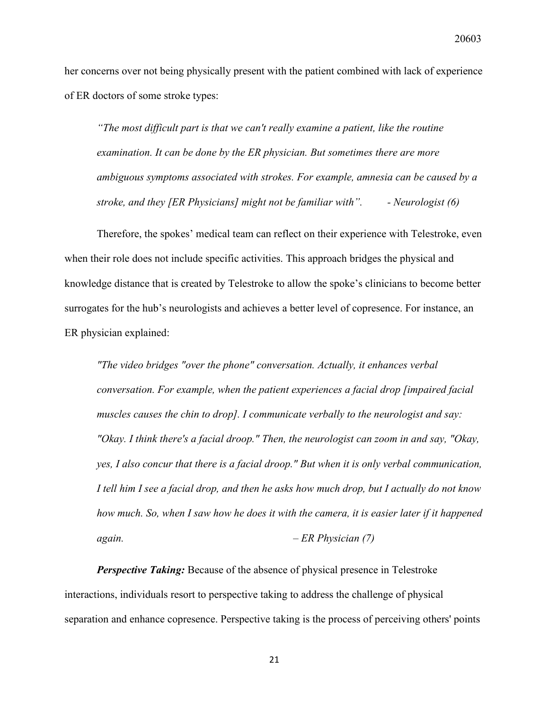her concerns over not being physically present with the patient combined with lack of experience of ER doctors of some stroke types:

*"The most difficult part is that we can't really examine a patient, like the routine examination. It can be done by the ER physician. But sometimes there are more ambiguous symptoms associated with strokes. For example, amnesia can be caused by a stroke, and they [ER Physicians] might not be familiar with". - Neurologist (6)*

Therefore, the spokes' medical team can reflect on their experience with Telestroke, even when their role does not include specific activities. This approach bridges the physical and knowledge distance that is created by Telestroke to allow the spoke's clinicians to become better surrogates for the hub's neurologists and achieves a better level of copresence. For instance, an ER physician explained:

*"The video bridges "over the phone" conversation. Actually, it enhances verbal conversation. For example, when the patient experiences a facial drop [impaired facial muscles causes the chin to drop]. I communicate verbally to the neurologist and say: "Okay. I think there's a facial droop." Then, the neurologist can zoom in and say, "Okay, yes, I also concur that there is a facial droop." But when it is only verbal communication, I tell him I see a facial drop, and then he asks how much drop, but I actually do not know how much. So, when I saw how he does it with the camera, it is easier later if it happened again. – ER Physician (7)*

*Perspective Taking:* Because of the absence of physical presence in Telestroke interactions, individuals resort to perspective taking to address the challenge of physical separation and enhance copresence. Perspective taking is the process of perceiving others' points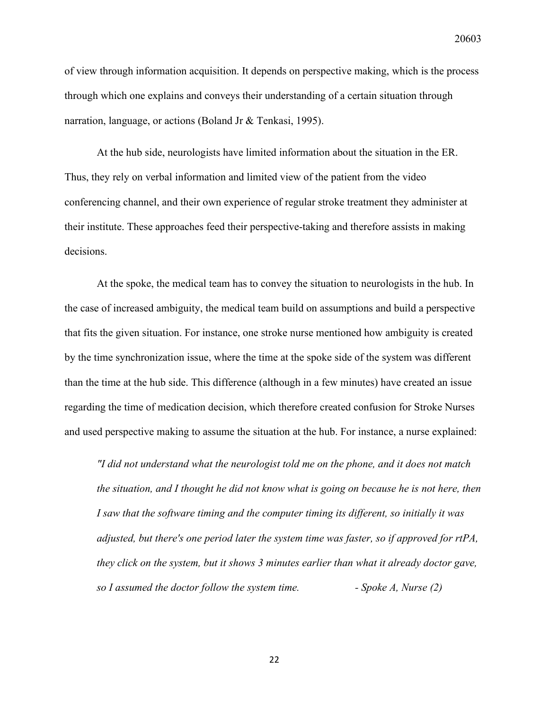of view through information acquisition. It depends on perspective making, which is the process through which one explains and conveys their understanding of a certain situation through narration, language, or actions (Boland Jr & Tenkasi, 1995).

At the hub side, neurologists have limited information about the situation in the ER. Thus, they rely on verbal information and limited view of the patient from the video conferencing channel, and their own experience of regular stroke treatment they administer at their institute. These approaches feed their perspective-taking and therefore assists in making decisions.

At the spoke, the medical team has to convey the situation to neurologists in the hub. In the case of increased ambiguity, the medical team build on assumptions and build a perspective that fits the given situation. For instance, one stroke nurse mentioned how ambiguity is created by the time synchronization issue, where the time at the spoke side of the system was different than the time at the hub side. This difference (although in a few minutes) have created an issue regarding the time of medication decision, which therefore created confusion for Stroke Nurses and used perspective making to assume the situation at the hub. For instance, a nurse explained:

*"I did not understand what the neurologist told me on the phone, and it does not match the situation, and I thought he did not know what is going on because he is not here, then I saw that the software timing and the computer timing its different, so initially it was adjusted, but there's one period later the system time was faster, so if approved for rtPA, they click on the system, but it shows 3 minutes earlier than what it already doctor gave, so I assumed the doctor follow the system time. - Spoke A, Nurse (2)*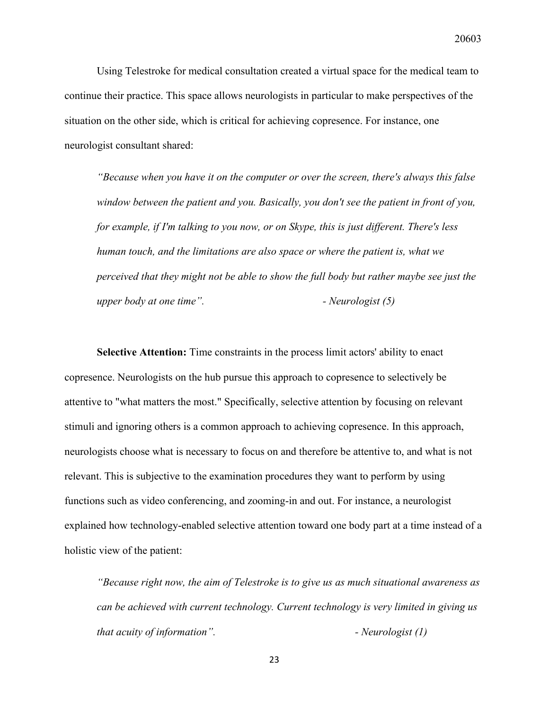Using Telestroke for medical consultation created a virtual space for the medical team to continue their practice. This space allows neurologists in particular to make perspectives of the situation on the other side, which is critical for achieving copresence. For instance, one neurologist consultant shared:

*"Because when you have it on the computer or over the screen, there's always this false window between the patient and you. Basically, you don't see the patient in front of you, for example, if I'm talking to you now, or on Skype, this is just different. There's less human touch, and the limitations are also space or where the patient is, what we perceived that they might not be able to show the full body but rather maybe see just the upper body at one time". - Neurologist (5)*

**Selective Attention:** Time constraints in the process limit actors' ability to enact copresence. Neurologists on the hub pursue this approach to copresence to selectively be attentive to "what matters the most." Specifically, selective attention by focusing on relevant stimuli and ignoring others is a common approach to achieving copresence. In this approach, neurologists choose what is necessary to focus on and therefore be attentive to, and what is not relevant. This is subjective to the examination procedures they want to perform by using functions such as video conferencing, and zooming-in and out. For instance, a neurologist explained how technology-enabled selective attention toward one body part at a time instead of a holistic view of the patient:

*"Because right now, the aim of Telestroke is to give us as much situational awareness as can be achieved with current technology. Current technology is very limited in giving us that acuity of information". - Neurologist (1)*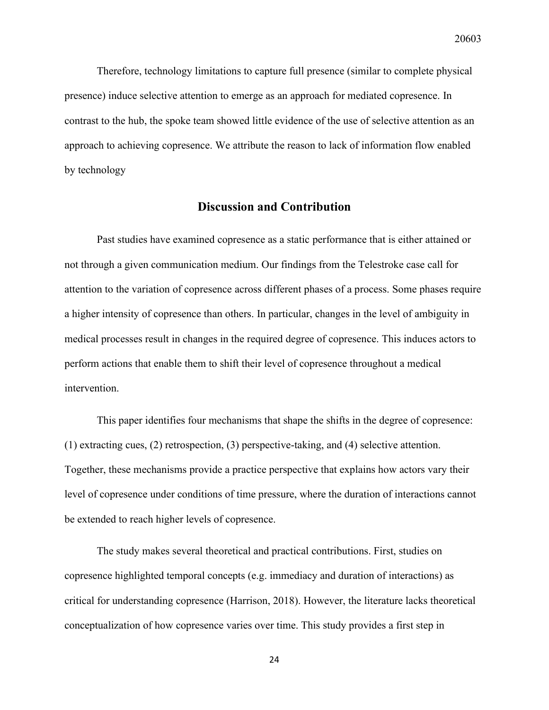Therefore, technology limitations to capture full presence (similar to complete physical presence) induce selective attention to emerge as an approach for mediated copresence. In contrast to the hub, the spoke team showed little evidence of the use of selective attention as an approach to achieving copresence. We attribute the reason to lack of information flow enabled by technology

### **Discussion and Contribution**

Past studies have examined copresence as a static performance that is either attained or not through a given communication medium. Our findings from the Telestroke case call for attention to the variation of copresence across different phases of a process. Some phases require a higher intensity of copresence than others. In particular, changes in the level of ambiguity in medical processes result in changes in the required degree of copresence. This induces actors to perform actions that enable them to shift their level of copresence throughout a medical intervention.

This paper identifies four mechanisms that shape the shifts in the degree of copresence: (1) extracting cues, (2) retrospection, (3) perspective-taking, and (4) selective attention. Together, these mechanisms provide a practice perspective that explains how actors vary their level of copresence under conditions of time pressure, where the duration of interactions cannot be extended to reach higher levels of copresence.

The study makes several theoretical and practical contributions. First, studies on copresence highlighted temporal concepts (e.g. immediacy and duration of interactions) as critical for understanding copresence (Harrison, 2018). However, the literature lacks theoretical conceptualization of how copresence varies over time. This study provides a first step in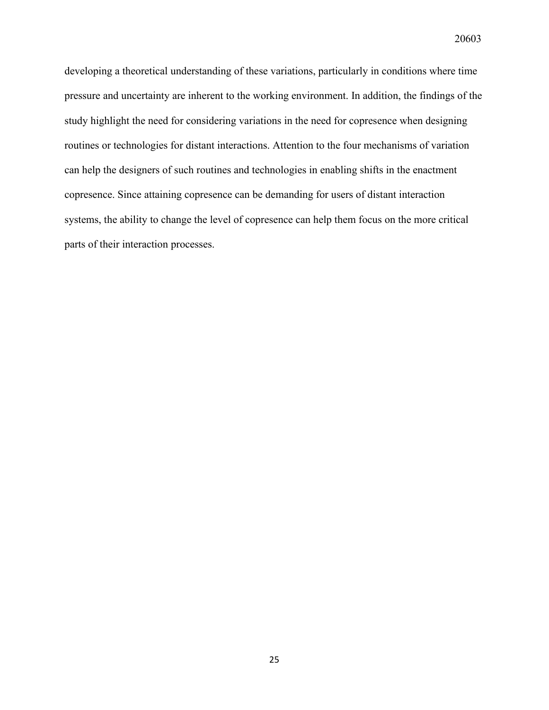developing a theoretical understanding of these variations, particularly in conditions where time pressure and uncertainty are inherent to the working environment. In addition, the findings of the study highlight the need for considering variations in the need for copresence when designing routines or technologies for distant interactions. Attention to the four mechanisms of variation can help the designers of such routines and technologies in enabling shifts in the enactment copresence. Since attaining copresence can be demanding for users of distant interaction systems, the ability to change the level of copresence can help them focus on the more critical parts of their interaction processes.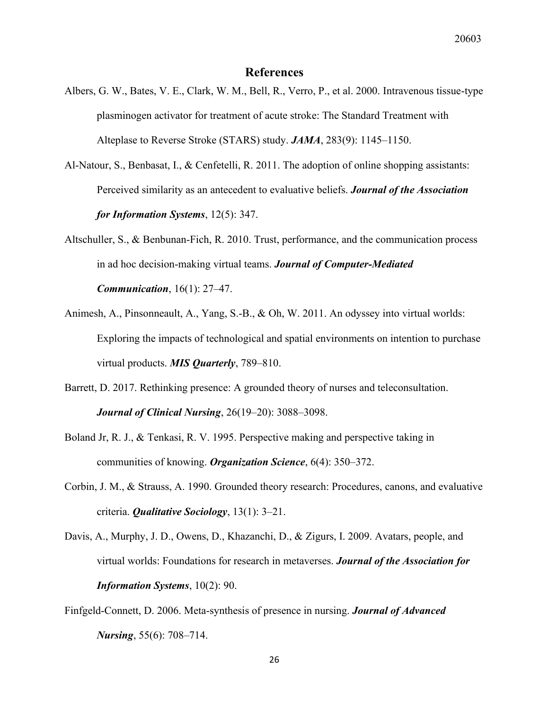#### **References**

- Albers, G. W., Bates, V. E., Clark, W. M., Bell, R., Verro, P., et al. 2000. Intravenous tissue-type plasminogen activator for treatment of acute stroke: The Standard Treatment with Alteplase to Reverse Stroke (STARS) study. *JAMA*, 283(9): 1145–1150.
- Al-Natour, S., Benbasat, I., & Cenfetelli, R. 2011. The adoption of online shopping assistants: Perceived similarity as an antecedent to evaluative beliefs. *Journal of the Association for Information Systems*, 12(5): 347.
- Altschuller, S., & Benbunan-Fich, R. 2010. Trust, performance, and the communication process in ad hoc decision-making virtual teams. *Journal of Computer-Mediated Communication*, 16(1): 27–47.
- Animesh, A., Pinsonneault, A., Yang, S.-B., & Oh, W. 2011. An odyssey into virtual worlds: Exploring the impacts of technological and spatial environments on intention to purchase virtual products. *MIS Quarterly*, 789–810.
- Barrett, D. 2017. Rethinking presence: A grounded theory of nurses and teleconsultation. *Journal of Clinical Nursing*, 26(19–20): 3088–3098.
- Boland Jr, R. J., & Tenkasi, R. V. 1995. Perspective making and perspective taking in communities of knowing. *Organization Science*, 6(4): 350–372.
- Corbin, J. M., & Strauss, A. 1990. Grounded theory research: Procedures, canons, and evaluative criteria. *Qualitative Sociology*, 13(1): 3–21.
- Davis, A., Murphy, J. D., Owens, D., Khazanchi, D., & Zigurs, I. 2009. Avatars, people, and virtual worlds: Foundations for research in metaverses. *Journal of the Association for Information Systems*, 10(2): 90.
- Finfgeld-Connett, D. 2006. Meta-synthesis of presence in nursing. *Journal of Advanced Nursing*, 55(6): 708–714.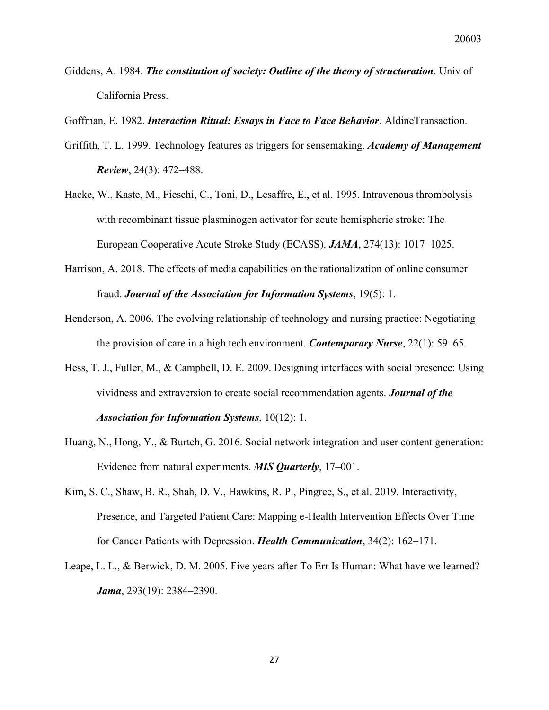- Giddens, A. 1984. *The constitution of society: Outline of the theory of structuration*. Univ of California Press.
- Goffman, E. 1982. *Interaction Ritual: Essays in Face to Face Behavior*. AldineTransaction.
- Griffith, T. L. 1999. Technology features as triggers for sensemaking. *Academy of Management Review*, 24(3): 472–488.
- Hacke, W., Kaste, M., Fieschi, C., Toni, D., Lesaffre, E., et al. 1995. Intravenous thrombolysis with recombinant tissue plasminogen activator for acute hemispheric stroke: The European Cooperative Acute Stroke Study (ECASS). *JAMA*, 274(13): 1017–1025.
- Harrison, A. 2018. The effects of media capabilities on the rationalization of online consumer fraud. *Journal of the Association for Information Systems*, 19(5): 1.
- Henderson, A. 2006. The evolving relationship of technology and nursing practice: Negotiating the provision of care in a high tech environment. *Contemporary Nurse*, 22(1): 59–65.
- Hess, T. J., Fuller, M., & Campbell, D. E. 2009. Designing interfaces with social presence: Using vividness and extraversion to create social recommendation agents. *Journal of the Association for Information Systems*, 10(12): 1.
- Huang, N., Hong, Y., & Burtch, G. 2016. Social network integration and user content generation: Evidence from natural experiments. *MIS Quarterly*, 17–001.
- Kim, S. C., Shaw, B. R., Shah, D. V., Hawkins, R. P., Pingree, S., et al. 2019. Interactivity, Presence, and Targeted Patient Care: Mapping e-Health Intervention Effects Over Time for Cancer Patients with Depression. *Health Communication*, 34(2): 162–171.
- Leape, L. L., & Berwick, D. M. 2005. Five years after To Err Is Human: What have we learned? *Jama*, 293(19): 2384–2390.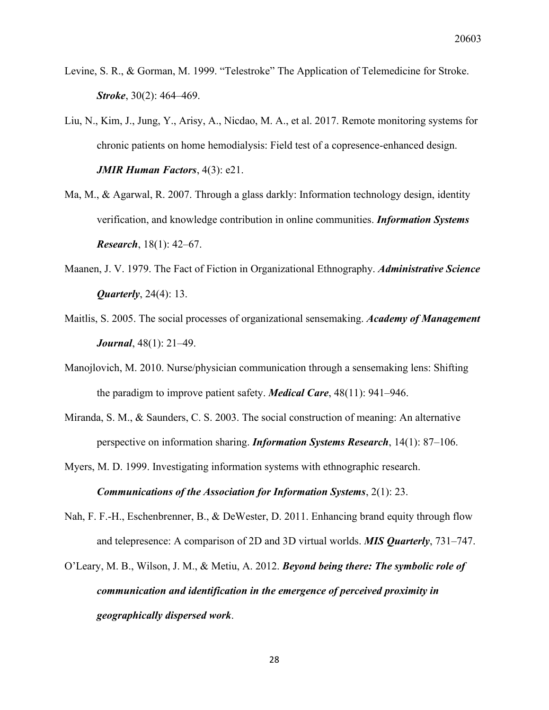- Levine, S. R., & Gorman, M. 1999. "Telestroke" The Application of Telemedicine for Stroke. *Stroke*, 30(2): 464–469.
- Liu, N., Kim, J., Jung, Y., Arisy, A., Nicdao, M. A., et al. 2017. Remote monitoring systems for chronic patients on home hemodialysis: Field test of a copresence-enhanced design. *JMIR Human Factors*, 4(3): e21.
- Ma, M., & Agarwal, R. 2007. Through a glass darkly: Information technology design, identity verification, and knowledge contribution in online communities. *Information Systems Research*, 18(1): 42–67.
- Maanen, J. V. 1979. The Fact of Fiction in Organizational Ethnography. *Administrative Science Quarterly*, 24(4): 13.
- Maitlis, S. 2005. The social processes of organizational sensemaking. *Academy of Management Journal*, 48(1): 21–49.
- Manojlovich, M. 2010. Nurse/physician communication through a sensemaking lens: Shifting the paradigm to improve patient safety. *Medical Care*, 48(11): 941–946.
- Miranda, S. M., & Saunders, C. S. 2003. The social construction of meaning: An alternative perspective on information sharing. *Information Systems Research*, 14(1): 87–106.
- Myers, M. D. 1999. Investigating information systems with ethnographic research. *Communications of the Association for Information Systems*, 2(1): 23.
- Nah, F. F.-H., Eschenbrenner, B., & DeWester, D. 2011. Enhancing brand equity through flow and telepresence: A comparison of 2D and 3D virtual worlds. *MIS Quarterly*, 731–747.
- O'Leary, M. B., Wilson, J. M., & Metiu, A. 2012. *Beyond being there: The symbolic role of communication and identification in the emergence of perceived proximity in geographically dispersed work*.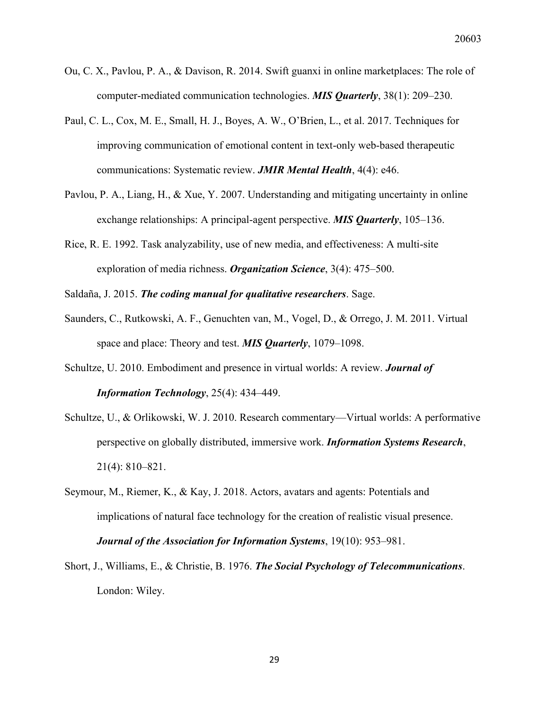- Ou, C. X., Pavlou, P. A., & Davison, R. 2014. Swift guanxi in online marketplaces: The role of computer-mediated communication technologies. *MIS Quarterly*, 38(1): 209–230.
- Paul, C. L., Cox, M. E., Small, H. J., Boyes, A. W., O'Brien, L., et al. 2017. Techniques for improving communication of emotional content in text-only web-based therapeutic communications: Systematic review. *JMIR Mental Health*, 4(4): e46.
- Pavlou, P. A., Liang, H., & Xue, Y. 2007. Understanding and mitigating uncertainty in online exchange relationships: A principal-agent perspective. *MIS Quarterly*, 105–136.
- Rice, R. E. 1992. Task analyzability, use of new media, and effectiveness: A multi-site exploration of media richness. *Organization Science*, 3(4): 475–500.

Saldaña, J. 2015. *The coding manual for qualitative researchers*. Sage.

- Saunders, C., Rutkowski, A. F., Genuchten van, M., Vogel, D., & Orrego, J. M. 2011. Virtual space and place: Theory and test. *MIS Quarterly*, 1079–1098.
- Schultze, U. 2010. Embodiment and presence in virtual worlds: A review. *Journal of Information Technology*, 25(4): 434–449.
- Schultze, U., & Orlikowski, W. J. 2010. Research commentary—Virtual worlds: A performative perspective on globally distributed, immersive work. *Information Systems Research*, 21(4): 810–821.
- Seymour, M., Riemer, K., & Kay, J. 2018. Actors, avatars and agents: Potentials and implications of natural face technology for the creation of realistic visual presence. *Journal of the Association for Information Systems*, 19(10): 953–981.
- Short, J., Williams, E., & Christie, B. 1976. *The Social Psychology of Telecommunications*. London: Wiley.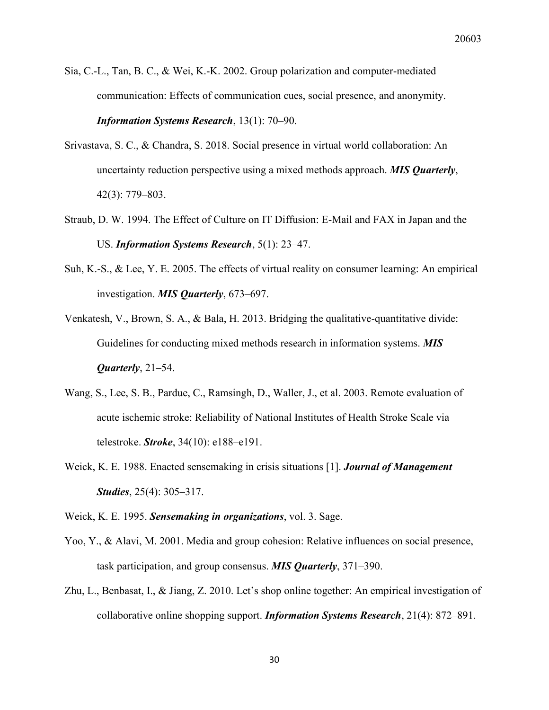- Sia, C.-L., Tan, B. C., & Wei, K.-K. 2002. Group polarization and computer-mediated communication: Effects of communication cues, social presence, and anonymity. *Information Systems Research*, 13(1): 70–90.
- Srivastava, S. C., & Chandra, S. 2018. Social presence in virtual world collaboration: An uncertainty reduction perspective using a mixed methods approach. *MIS Quarterly*, 42(3): 779–803.
- Straub, D. W. 1994. The Effect of Culture on IT Diffusion: E-Mail and FAX in Japan and the US. *Information Systems Research*, 5(1): 23–47.
- Suh, K.-S., & Lee, Y. E. 2005. The effects of virtual reality on consumer learning: An empirical investigation. *MIS Quarterly*, 673–697.
- Venkatesh, V., Brown, S. A., & Bala, H. 2013. Bridging the qualitative-quantitative divide: Guidelines for conducting mixed methods research in information systems. *MIS Quarterly*, 21–54.
- Wang, S., Lee, S. B., Pardue, C., Ramsingh, D., Waller, J., et al. 2003. Remote evaluation of acute ischemic stroke: Reliability of National Institutes of Health Stroke Scale via telestroke. *Stroke*, 34(10): e188–e191.
- Weick, K. E. 1988. Enacted sensemaking in crisis situations [1]. *Journal of Management Studies*, 25(4): 305–317.

Weick, K. E. 1995. *Sensemaking in organizations*, vol. 3. Sage.

- Yoo, Y., & Alavi, M. 2001. Media and group cohesion: Relative influences on social presence, task participation, and group consensus. *MIS Quarterly*, 371–390.
- Zhu, L., Benbasat, I., & Jiang, Z. 2010. Let's shop online together: An empirical investigation of collaborative online shopping support. *Information Systems Research*, 21(4): 872–891.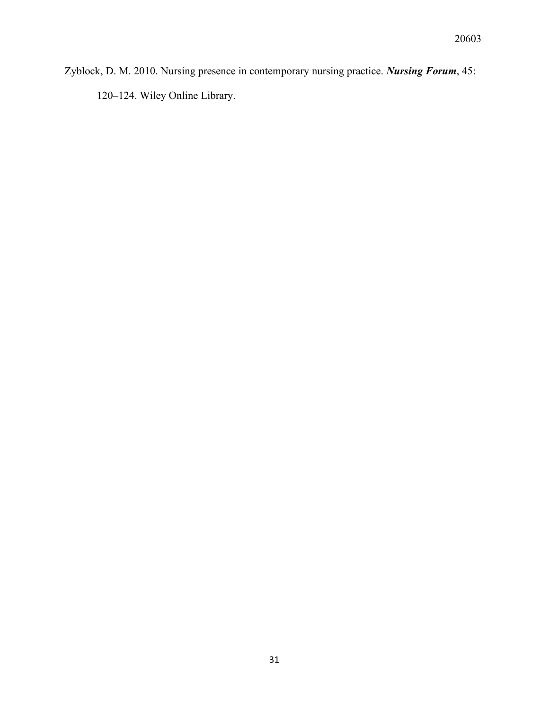Zyblock, D. M. 2010. Nursing presence in contemporary nursing practice. *Nursing Forum*, 45: –124. Wiley Online Library.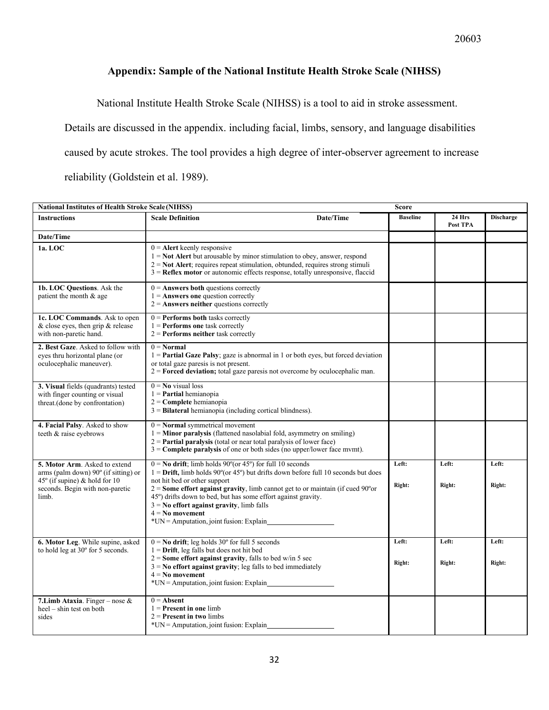### **Appendix: Sample of the National Institute Health Stroke Scale (NIHSS)**

National Institute Health Stroke Scale (NIHSS) is a tool to aid in stroke assessment.

Details are discussed in the appendix. including facial, limbs, sensory, and language disabilities

caused by acute strokes. The tool provides a high degree of inter-observer agreement to increase

reliability (Goldstein et al. 1989).

|                                                                                                         | <b>National Institutes of Health Stroke Scale (NIHSS)</b><br>Score                                                                                                                                                                                                                                                        |                        |                    |                  |  |
|---------------------------------------------------------------------------------------------------------|---------------------------------------------------------------------------------------------------------------------------------------------------------------------------------------------------------------------------------------------------------------------------------------------------------------------------|------------------------|--------------------|------------------|--|
| <b>Instructions</b>                                                                                     | <b>Scale Definition</b><br>Date/Time                                                                                                                                                                                                                                                                                      | <b>Baseline</b>        | 24 Hrs<br>Post TPA | <b>Discharge</b> |  |
| Date/Time                                                                                               |                                                                                                                                                                                                                                                                                                                           |                        |                    |                  |  |
| 1a. LOC                                                                                                 | $0 =$ Alert keenly responsive<br>$1 =$ <b>Not Alert</b> but arousable by minor stimulation to obey, answer, respond<br>$2 =$ Not Alert; requires repeat stimulation, obtunded, requires strong stimuli<br>$3$ = Reflex motor or autonomic effects response, totally unresponsive, flaccid                                 |                        |                    |                  |  |
| 1b. LOC Questions. Ask the<br>patient the month & age                                                   | $0 =$ Answers both questions correctly<br>$1 =$ Answers one question correctly<br>$2 =$ Answers neither questions correctly                                                                                                                                                                                               |                        |                    |                  |  |
| 1c. LOC Commands. Ask to open<br>& close eyes, then grip & release<br>with non-paretic hand.            | $0 =$ <b>Performs both</b> tasks correctly<br>$1$ = <b>Performs</b> one task correctly<br>$2$ = Performs neither task correctly                                                                                                                                                                                           |                        |                    |                  |  |
| 2. Best Gaze. Asked to follow with<br>eyes thru horizontal plane (or<br>oculocephalic maneuver).        | $0 = Normal$<br>$1 =$ Partial Gaze Palsy; gaze is abnormal in 1 or both eyes, but forced deviation<br>or total gaze paresis is not present.<br>$2$ = <b>Forced deviation</b> ; total gaze paresis not overcome by oculocephalic man.                                                                                      |                        |                    |                  |  |
| 3. Visual fields (quadrants) tested<br>with finger counting or visual<br>threat.(done by confrontation) | $0 = No$ visual loss<br>$1$ = <b>Partial</b> hemianopia<br>$2 =$ Complete hemianopia<br>$3$ = <b>Bilateral</b> hemianopia (including cortical blindness).                                                                                                                                                                 |                        |                    |                  |  |
| 4. Facial Palsy. Asked to show<br>teeth & raise eyebrows                                                | $0 =$ <b>Normal</b> symmetrical movement<br>$1 =$ <b>Minor paralysis</b> (flattened nasolabial fold, asymmetry on smiling)<br>$2$ = <b>Partial paralysis</b> (total or near total paralysis of lower face)<br>$3 =$ Complete paralysis of one or both sides (no upper/lower face mvmt).                                   |                        |                    |                  |  |
| 5. Motor Arm. Asked to extend<br>arms (palm down) $90^\circ$ (if sitting) or                            | $0 =$ <b>No drift</b> ; limb holds 90 $^{\circ}$ (or 45 $^{\circ}$ ) for full 10 seconds<br>$1 =$ <b>Drift</b> , limb holds 90 $^{\circ}$ (or 45 $^{\circ}$ ) but drifts down before full 10 seconds but does                                                                                                             | Left:                  | Left:              | Left:            |  |
| 45° (if supine) & hold for 10<br>seconds. Begin with non-paretic<br>limb.                               | not hit bed or other support<br>$2 =$ Some effort against gravity, limb cannot get to or maintain (if cued $90^{\circ}$ or<br>45°) drifts down to bed, but has some effort against gravity.<br>$3 =$ No effort against gravity, limb falls<br>$4 = No$ movement<br>$*UN =$ Amputation, joint fusion: Explain              | Right:                 | Right:             | Right:           |  |
| 6. Motor Leg. While supine, asked<br>to hold leg at 30° for 5 seconds.                                  | $0 =$ <b>No drift</b> ; leg holds $30^{\circ}$ for full 5 seconds<br>$1 =$ <b>Drift</b> , leg falls but does not hit bed<br>$2 =$ Some effort against gravity, falls to bed w/in 5 sec<br>$3 =$ No effort against gravity; leg falls to bed immediately<br>$4 = No$ movement<br>$*UN =$ Amputation, joint fusion: Explain | Left:<br><b>Right:</b> | Left:<br>Right:    | Left:<br>Right:  |  |
| 7. Limb Ataxia. Finger – nose &<br>$heel - \sinh \text{ test on both}$<br>sides                         | $0 =$ Absent<br>$1 =$ <b>Present in one limb</b><br>$2$ = Present in two limbs<br>$*UN =$ Amputation, joint fusion: Explain                                                                                                                                                                                               |                        |                    |                  |  |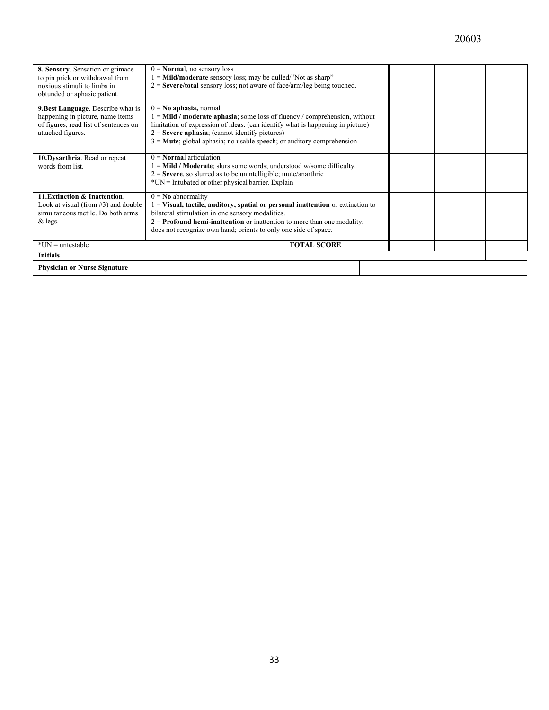| 8. Sensory. Sensation or grimace          | $0 = \textbf{Normal}$ , no sensory loss<br>$1 =$ <b>Mild/moderate</b> sensory loss; may be dulled/"Not as sharp" |                                                                                |  |  |  |
|-------------------------------------------|------------------------------------------------------------------------------------------------------------------|--------------------------------------------------------------------------------|--|--|--|
| to pin prick or withdrawal from           |                                                                                                                  |                                                                                |  |  |  |
| noxious stimuli to limbs in               |                                                                                                                  | $2 =$ Severe/total sensory loss; not aware of face/arm/leg being touched.      |  |  |  |
| obtunded or aphasic patient.              |                                                                                                                  |                                                                                |  |  |  |
|                                           |                                                                                                                  |                                                                                |  |  |  |
| <b>9. Best Language.</b> Describe what is | $0 = No$ aphasia, normal                                                                                         |                                                                                |  |  |  |
| happening in picture, name items          |                                                                                                                  | $1 =$ Mild / moderate aphasia; some loss of fluency / comprehension, without   |  |  |  |
| of figures, read list of sentences on     |                                                                                                                  | limitation of expression of ideas. (can identify what is happening in picture) |  |  |  |
| attached figures.                         |                                                                                                                  | $2 =$ <b>Severe aphasia</b> ; (cannot identify pictures)                       |  |  |  |
|                                           |                                                                                                                  | $3 =$ Mute; global aphasia; no usable speech; or auditory comprehension        |  |  |  |
|                                           |                                                                                                                  |                                                                                |  |  |  |
| 10.Dysarthria. Read or repeat             | $0 = \textbf{Normal}$ articulation                                                                               |                                                                                |  |  |  |
| words from list.                          | $1 =$ Mild / Moderate; slurs some words; understood w/some difficulty.                                           |                                                                                |  |  |  |
|                                           | $2 =$ Severe, so slurred as to be unintelligible; mute/anarthric                                                 |                                                                                |  |  |  |
|                                           | $*UN = Intubated$ or other physical barrier. Explain                                                             |                                                                                |  |  |  |
|                                           |                                                                                                                  |                                                                                |  |  |  |
| 11. Extinction & Inattention.             | $0 = No$ abnormality                                                                                             |                                                                                |  |  |  |
| Look at visual (from #3) and double       | $1 =$ Visual, tactile, auditory, spatial or personal inattention or extinction to                                |                                                                                |  |  |  |
| simultaneous tactile. Do both arms        | bilateral stimulation in one sensory modalities.                                                                 |                                                                                |  |  |  |
| $&$ legs.                                 | $2 =$ <b>Profound hemi-inattention</b> or inattention to more than one modality;                                 |                                                                                |  |  |  |
|                                           |                                                                                                                  |                                                                                |  |  |  |
|                                           | does not recognize own hand; orients to only one side of space.                                                  |                                                                                |  |  |  |
| $*UN =$ untestable<br><b>TOTAL SCORE</b>  |                                                                                                                  |                                                                                |  |  |  |
|                                           |                                                                                                                  |                                                                                |  |  |  |
| <b>Initials</b>                           |                                                                                                                  |                                                                                |  |  |  |
| <b>Physician or Nurse Signature</b>       |                                                                                                                  |                                                                                |  |  |  |
|                                           |                                                                                                                  |                                                                                |  |  |  |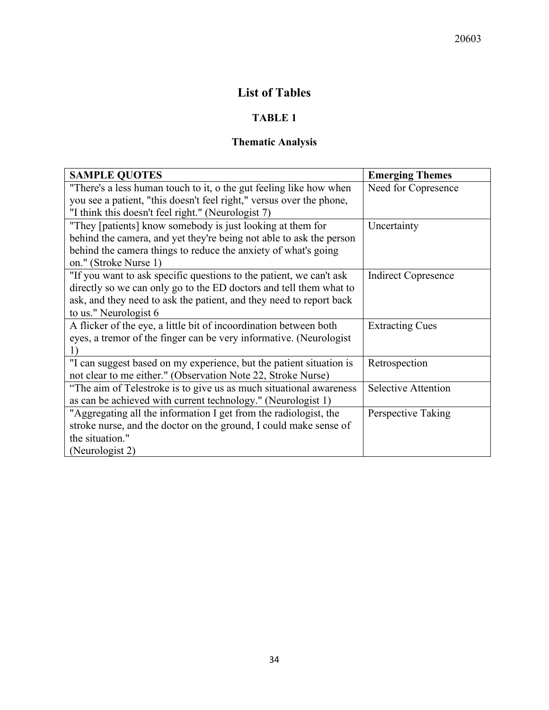## **List of Tables**

## **TABLE 1**

## **Thematic Analysis**

| <b>SAMPLE QUOTES</b>                                                 | <b>Emerging Themes</b>     |  |
|----------------------------------------------------------------------|----------------------------|--|
| "There's a less human touch to it, o the gut feeling like how when   | Need for Copresence        |  |
| you see a patient, "this doesn't feel right," versus over the phone, |                            |  |
| "I think this doesn't feel right." (Neurologist 7)                   |                            |  |
| "They [patients] know somebody is just looking at them for           | Uncertainty                |  |
| behind the camera, and yet they're being not able to ask the person  |                            |  |
| behind the camera things to reduce the anxiety of what's going       |                            |  |
| on." (Stroke Nurse 1)                                                |                            |  |
| "If you want to ask specific questions to the patient, we can't ask  | <b>Indirect Copresence</b> |  |
| directly so we can only go to the ED doctors and tell them what to   |                            |  |
| ask, and they need to ask the patient, and they need to report back  |                            |  |
| to us." Neurologist 6                                                |                            |  |
| A flicker of the eye, a little bit of incoordination between both    | <b>Extracting Cues</b>     |  |
| eyes, a tremor of the finger can be very informative. (Neurologist   |                            |  |
| 1)                                                                   |                            |  |
| "I can suggest based on my experience, but the patient situation is  | Retrospection              |  |
| not clear to me either." (Observation Note 22, Stroke Nurse)         |                            |  |
| "The aim of Telestroke is to give us as much situational awareness   | <b>Selective Attention</b> |  |
| as can be achieved with current technology." (Neurologist 1)         |                            |  |
| "Aggregating all the information I get from the radiologist, the     | Perspective Taking         |  |
| stroke nurse, and the doctor on the ground, I could make sense of    |                            |  |
| the situation."                                                      |                            |  |
| (Neurologist 2)                                                      |                            |  |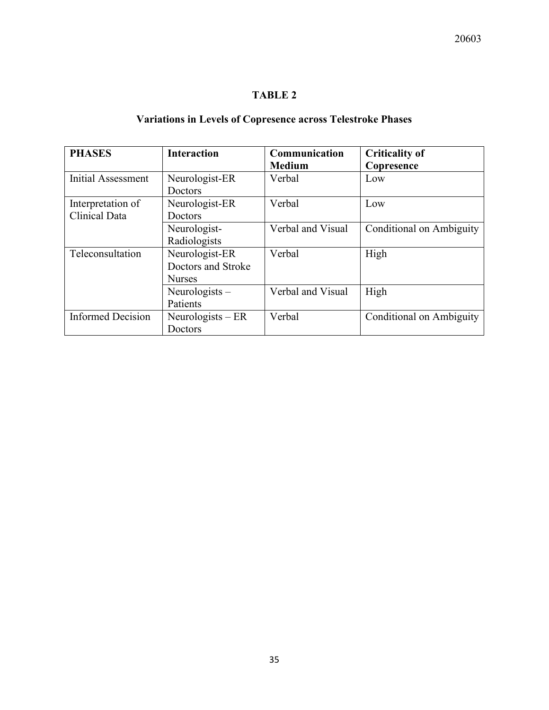## **TABLE 2**

## **Variations in Levels of Copresence across Telestroke Phases**

| <b>PHASES</b>            | <b>Interaction</b> | Communication<br><b>Medium</b> | <b>Criticality of</b><br>Copresence |
|--------------------------|--------------------|--------------------------------|-------------------------------------|
| Initial Assessment       | Neurologist-ER     | Verbal                         | Low                                 |
|                          | Doctors            |                                |                                     |
| Interpretation of        | Neurologist-ER     | Verbal                         | Low                                 |
| Clinical Data            | Doctors            |                                |                                     |
|                          | Neurologist-       | Verbal and Visual              | Conditional on Ambiguity            |
|                          | Radiologists       |                                |                                     |
| Teleconsultation         | Neurologist-ER     | Verbal                         | High                                |
|                          | Doctors and Stroke |                                |                                     |
|                          | <b>Nurses</b>      |                                |                                     |
|                          | Neurologists $-$   | Verbal and Visual              | High                                |
|                          | Patients           |                                |                                     |
| <b>Informed Decision</b> | Neurologists $-ER$ | Verbal                         | Conditional on Ambiguity            |
|                          | Doctors            |                                |                                     |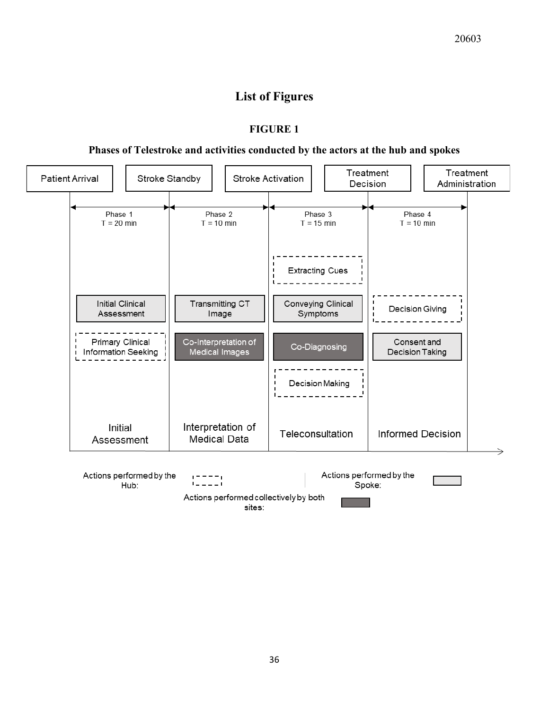## **List of Figures**

#### **FIGURE 1**

### **Phases of Telestroke and activities conducted by the actors at the hub and spokes**